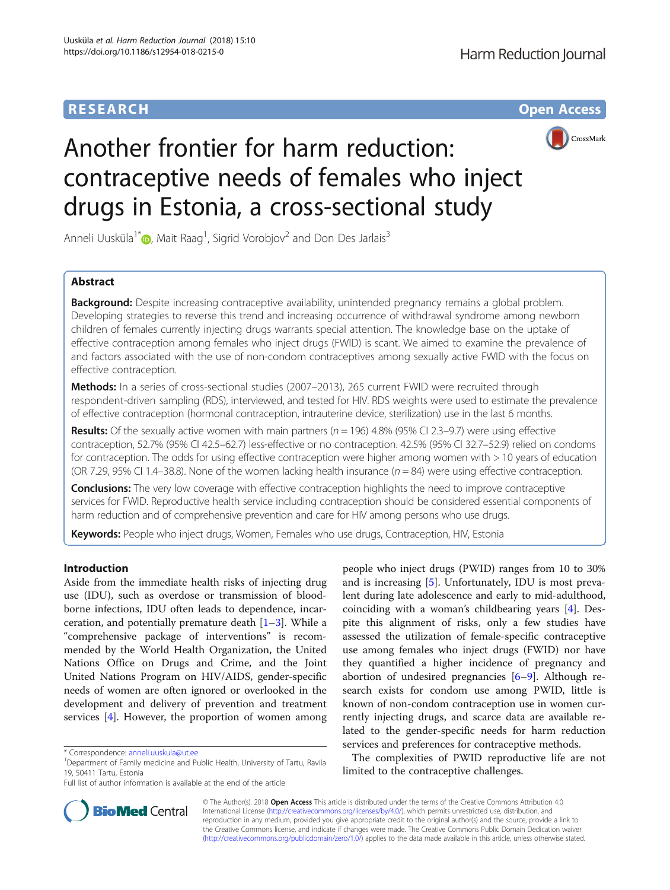## **RESEARCH CHE Open Access**



# Another frontier for harm reduction: contraceptive needs of females who inject drugs in Estonia, a cross-sectional study

Anneli Uusküla<sup>1\*</sup>®, Mait Raag<sup>1</sup>, Sigrid Vorobjov<sup>2</sup> and Don Des Jarlais<sup>3</sup>

## Abstract

Background: Despite increasing contraceptive availability, unintended pregnancy remains a global problem. Developing strategies to reverse this trend and increasing occurrence of withdrawal syndrome among newborn children of females currently injecting drugs warrants special attention. The knowledge base on the uptake of effective contraception among females who inject drugs (FWID) is scant. We aimed to examine the prevalence of and factors associated with the use of non-condom contraceptives among sexually active FWID with the focus on effective contraception.

Methods: In a series of cross-sectional studies (2007–2013), 265 current FWID were recruited through respondent-driven sampling (RDS), interviewed, and tested for HIV. RDS weights were used to estimate the prevalence of effective contraception (hormonal contraception, intrauterine device, sterilization) use in the last 6 months.

**Results:** Of the sexually active women with main partners ( $n = 196$ ) 4.8% (95% CI 2.3–9.7) were using effective contraception, 52.7% (95% CI 42.5–62.7) less-effective or no contraception. 42.5% (95% CI 32.7–52.9) relied on condoms for contraception. The odds for using effective contraception were higher among women with > 10 years of education (OR 7.29, 95% CI 1.4–38.8). None of the women lacking health insurance ( $n = 84$ ) were using effective contraception.

**Conclusions:** The very low coverage with effective contraception highlights the need to improve contraceptive services for FWID. Reproductive health service including contraception should be considered essential components of harm reduction and of comprehensive prevention and care for HIV among persons who use drugs.

Keywords: People who inject drugs, Women, Females who use drugs, Contraception, HIV, Estonia

## Introduction

Aside from the immediate health risks of injecting drug use (IDU), such as overdose or transmission of bloodborne infections, IDU often leads to dependence, incarceration, and potentially premature death  $[1-3]$  $[1-3]$  $[1-3]$  $[1-3]$ . While a "comprehensive package of interventions" is recommended by the World Health Organization, the United Nations Office on Drugs and Crime, and the Joint United Nations Program on HIV/AIDS, gender-specific needs of women are often ignored or overlooked in the development and delivery of prevention and treatment services [[4\]](#page-7-0). However, the proportion of women among

people who inject drugs (PWID) ranges from 10 to 30% and is increasing [\[5](#page-7-0)]. Unfortunately, IDU is most prevalent during late adolescence and early to mid-adulthood, coinciding with a woman's childbearing years [[4\]](#page-7-0). Despite this alignment of risks, only a few studies have assessed the utilization of female-specific contraceptive use among females who inject drugs (FWID) nor have they quantified a higher incidence of pregnancy and abortion of undesired pregnancies [[6](#page-7-0)–[9\]](#page-7-0). Although research exists for condom use among PWID, little is known of non-condom contraception use in women currently injecting drugs, and scarce data are available related to the gender-specific needs for harm reduction services and preferences for contraceptive methods.

The complexities of PWID reproductive life are not limited to the contraceptive challenges.



© The Author(s). 2018 Open Access This article is distributed under the terms of the Creative Commons Attribution 4.0 International License [\(http://creativecommons.org/licenses/by/4.0/](http://creativecommons.org/licenses/by/4.0/)), which permits unrestricted use, distribution, and reproduction in any medium, provided you give appropriate credit to the original author(s) and the source, provide a link to the Creative Commons license, and indicate if changes were made. The Creative Commons Public Domain Dedication waiver [\(http://creativecommons.org/publicdomain/zero/1.0/](http://creativecommons.org/publicdomain/zero/1.0/)) applies to the data made available in this article, unless otherwise stated.

<sup>\*</sup> Correspondence: [anneli.uuskula@ut.ee](mailto:anneli.uuskula@ut.ee) <sup>1</sup>

Department of Family medicine and Public Health, University of Tartu, Ravila 19, 50411 Tartu, Estonia

Full list of author information is available at the end of the article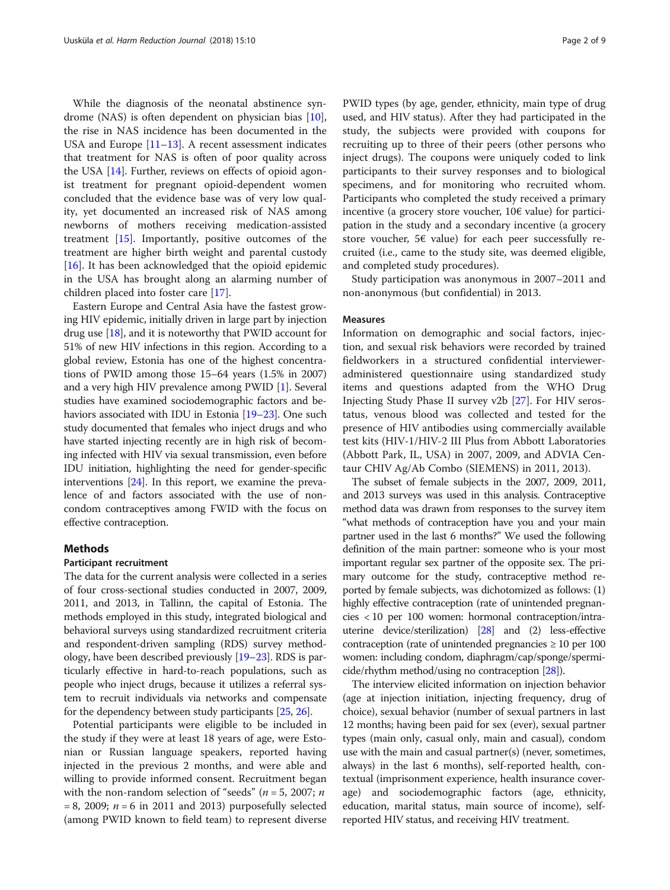While the diagnosis of the neonatal abstinence syndrome (NAS) is often dependent on physician bias [\[10](#page-7-0)], the rise in NAS incidence has been documented in the USA and Europe  $[11-13]$  $[11-13]$  $[11-13]$ . A recent assessment indicates that treatment for NAS is often of poor quality across the USA [\[14\]](#page-7-0). Further, reviews on effects of opioid agonist treatment for pregnant opioid-dependent women concluded that the evidence base was of very low quality, yet documented an increased risk of NAS among newborns of mothers receiving medication-assisted treatment [\[15](#page-7-0)]. Importantly, positive outcomes of the treatment are higher birth weight and parental custody [[16\]](#page-7-0). It has been acknowledged that the opioid epidemic in the USA has brought along an alarming number of children placed into foster care [\[17](#page-7-0)].

Eastern Europe and Central Asia have the fastest growing HIV epidemic, initially driven in large part by injection drug use [\[18\]](#page-7-0), and it is noteworthy that PWID account for 51% of new HIV infections in this region. According to a global review, Estonia has one of the highest concentrations of PWID among those 15–64 years (1.5% in 2007) and a very high HIV prevalence among PWID [\[1\]](#page-7-0). Several studies have examined sociodemographic factors and be-haviors associated with IDU in Estonia [[19](#page-7-0)–[23\]](#page-7-0). One such study documented that females who inject drugs and who have started injecting recently are in high risk of becoming infected with HIV via sexual transmission, even before IDU initiation, highlighting the need for gender-specific interventions [\[24\]](#page-7-0). In this report, we examine the prevalence of and factors associated with the use of noncondom contraceptives among FWID with the focus on effective contraception.

## Methods

#### Participant recruitment

The data for the current analysis were collected in a series of four cross-sectional studies conducted in 2007, 2009, 2011, and 2013, in Tallinn, the capital of Estonia. The methods employed in this study, integrated biological and behavioral surveys using standardized recruitment criteria and respondent-driven sampling (RDS) survey methodology, have been described previously [\[19](#page-7-0)–[23](#page-7-0)]. RDS is particularly effective in hard-to-reach populations, such as people who inject drugs, because it utilizes a referral system to recruit individuals via networks and compensate for the dependency between study participants [[25](#page-7-0), [26\]](#page-7-0).

Potential participants were eligible to be included in the study if they were at least 18 years of age, were Estonian or Russian language speakers, reported having injected in the previous 2 months, and were able and willing to provide informed consent. Recruitment began with the non-random selection of "seeds" ( $n = 5$ , 2007;  $n$  $= 8$ , 2009;  $n = 6$  in 2011 and 2013) purposefully selected (among PWID known to field team) to represent diverse

PWID types (by age, gender, ethnicity, main type of drug used, and HIV status). After they had participated in the study, the subjects were provided with coupons for recruiting up to three of their peers (other persons who inject drugs). The coupons were uniquely coded to link participants to their survey responses and to biological specimens, and for monitoring who recruited whom. Participants who completed the study received a primary incentive (a grocery store voucher, 10€ value) for participation in the study and a secondary incentive (a grocery store voucher, 5€ value) for each peer successfully recruited (i.e., came to the study site, was deemed eligible, and completed study procedures).

Study participation was anonymous in 2007–2011 and non-anonymous (but confidential) in 2013.

### Measures

Information on demographic and social factors, injection, and sexual risk behaviors were recorded by trained fieldworkers in a structured confidential intervieweradministered questionnaire using standardized study items and questions adapted from the WHO Drug Injecting Study Phase II survey v2b [\[27\]](#page-7-0). For HIV serostatus, venous blood was collected and tested for the presence of HIV antibodies using commercially available test kits (HIV-1/HIV-2 III Plus from Abbott Laboratories (Abbott Park, IL, USA) in 2007, 2009, and ADVIA Centaur CHIV Ag/Ab Combo (SIEMENS) in 2011, 2013).

The subset of female subjects in the 2007, 2009, 2011, and 2013 surveys was used in this analysis. Contraceptive method data was drawn from responses to the survey item "what methods of contraception have you and your main partner used in the last 6 months?" We used the following definition of the main partner: someone who is your most important regular sex partner of the opposite sex. The primary outcome for the study, contraceptive method reported by female subjects, was dichotomized as follows: (1) highly effective contraception (rate of unintended pregnancies < 10 per 100 women: hormonal contraception/intrauterine device/sterilization) [[28\]](#page-8-0) and (2) less-effective contraception (rate of unintended pregnancies  $\geq 10$  per 100 women: including condom, diaphragm/cap/sponge/spermicide/rhythm method/using no contraception [\[28](#page-8-0)]).

The interview elicited information on injection behavior (age at injection initiation, injecting frequency, drug of choice), sexual behavior (number of sexual partners in last 12 months; having been paid for sex (ever), sexual partner types (main only, casual only, main and casual), condom use with the main and casual partner(s) (never, sometimes, always) in the last 6 months), self-reported health, contextual (imprisonment experience, health insurance coverage) and sociodemographic factors (age, ethnicity, education, marital status, main source of income), selfreported HIV status, and receiving HIV treatment.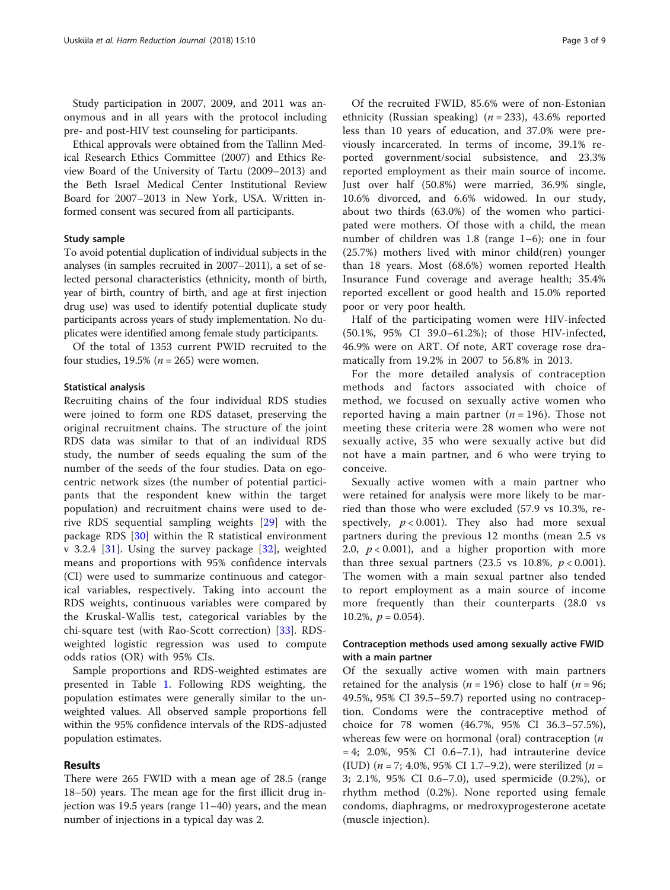Study participation in 2007, 2009, and 2011 was anonymous and in all years with the protocol including pre- and post-HIV test counseling for participants.

Ethical approvals were obtained from the Tallinn Medical Research Ethics Committee (2007) and Ethics Review Board of the University of Tartu (2009–2013) and the Beth Israel Medical Center Institutional Review Board for 2007–2013 in New York, USA. Written informed consent was secured from all participants.

#### Study sample

To avoid potential duplication of individual subjects in the analyses (in samples recruited in 2007–2011), a set of selected personal characteristics (ethnicity, month of birth, year of birth, country of birth, and age at first injection drug use) was used to identify potential duplicate study participants across years of study implementation. No duplicates were identified among female study participants.

Of the total of 1353 current PWID recruited to the four studies, 19.5% ( $n = 265$ ) were women.

#### Statistical analysis

Recruiting chains of the four individual RDS studies were joined to form one RDS dataset, preserving the original recruitment chains. The structure of the joint RDS data was similar to that of an individual RDS study, the number of seeds equaling the sum of the number of the seeds of the four studies. Data on egocentric network sizes (the number of potential participants that the respondent knew within the target population) and recruitment chains were used to derive RDS sequential sampling weights [\[29](#page-8-0)] with the package RDS [\[30](#page-8-0)] within the R statistical environment v 3.2.4 [\[31\]](#page-8-0). Using the survey package  $[32]$  $[32]$  $[32]$ , weighted means and proportions with 95% confidence intervals (CI) were used to summarize continuous and categorical variables, respectively. Taking into account the RDS weights, continuous variables were compared by the Kruskal-Wallis test, categorical variables by the chi-square test (with Rao-Scott correction) [\[33](#page-8-0)]. RDSweighted logistic regression was used to compute odds ratios (OR) with 95% CIs.

Sample proportions and RDS-weighted estimates are presented in Table [1](#page-3-0). Following RDS weighting, the population estimates were generally similar to the unweighted values. All observed sample proportions fell within the 95% confidence intervals of the RDS-adjusted population estimates.

#### Results

There were 265 FWID with a mean age of 28.5 (range 18–50) years. The mean age for the first illicit drug injection was 19.5 years (range 11–40) years, and the mean number of injections in a typical day was 2.

Of the recruited FWID, 85.6% were of non-Estonian ethnicity (Russian speaking) ( $n = 233$ ), 43.6% reported less than 10 years of education, and 37.0% were previously incarcerated. In terms of income, 39.1% reported government/social subsistence, and 23.3% reported employment as their main source of income. Just over half (50.8%) were married, 36.9% single, 10.6% divorced, and 6.6% widowed. In our study, about two thirds (63.0%) of the women who participated were mothers. Of those with a child, the mean number of children was 1.8 (range 1–6); one in four (25.7%) mothers lived with minor child(ren) younger than 18 years. Most (68.6%) women reported Health Insurance Fund coverage and average health; 35.4% reported excellent or good health and 15.0% reported poor or very poor health.

Half of the participating women were HIV-infected (50.1%, 95% CI 39.0–61.2%); of those HIV-infected, 46.9% were on ART. Of note, ART coverage rose dramatically from 19.2% in 2007 to 56.8% in 2013.

For the more detailed analysis of contraception methods and factors associated with choice of method, we focused on sexually active women who reported having a main partner ( $n = 196$ ). Those not meeting these criteria were 28 women who were not sexually active, 35 who were sexually active but did not have a main partner, and 6 who were trying to conceive.

Sexually active women with a main partner who were retained for analysis were more likely to be married than those who were excluded (57.9 vs 10.3%, respectively,  $p < 0.001$ ). They also had more sexual partners during the previous 12 months (mean 2.5 vs 2.0,  $p < 0.001$ ), and a higher proportion with more than three sexual partners (23.5 vs 10.8%,  $p < 0.001$ ). The women with a main sexual partner also tended to report employment as a main source of income more frequently than their counterparts (28.0 vs 10.2%,  $p = 0.054$ ).

## Contraception methods used among sexually active FWID with a main partner

Of the sexually active women with main partners retained for the analysis ( $n = 196$ ) close to half ( $n = 96$ ; 49.5%, 95% CI 39.5–59.7) reported using no contraception. Condoms were the contraceptive method of choice for 78 women (46.7%, 95% CI 36.3–57.5%), whereas few were on hormonal (oral) contraception  $(n)$ = 4; 2.0%, 95% CI 0.6–7.1), had intrauterine device (IUD) ( $n = 7$ ; 4.0%, 95% CI 1.7–9.2), were sterilized ( $n =$ 3; 2.1%, 95% CI 0.6–7.0), used spermicide (0.2%), or rhythm method (0.2%). None reported using female condoms, diaphragms, or medroxyprogesterone acetate (muscle injection).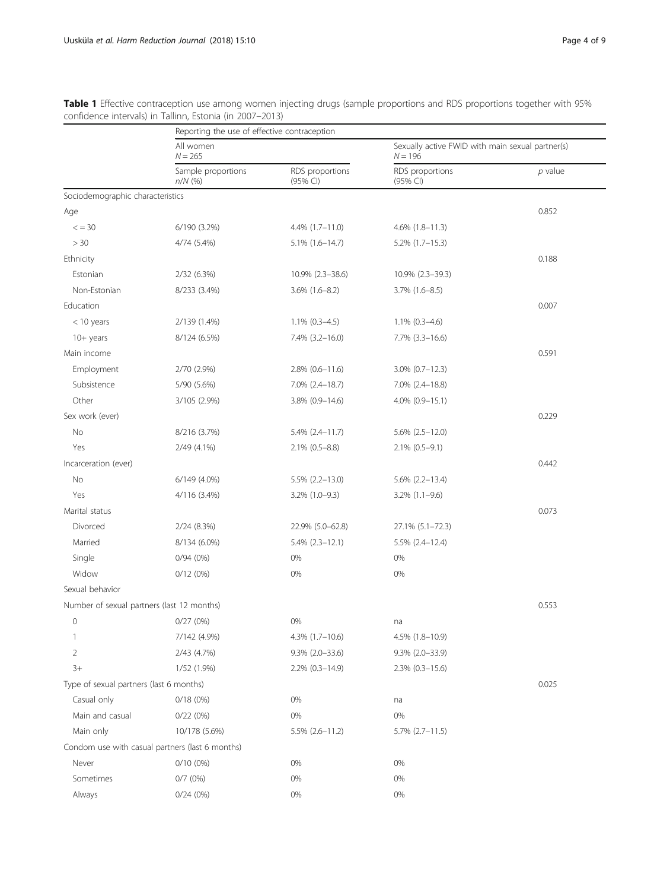|                                                 | Reporting the use of effective contraception |                               |                                                               |           |  |  |
|-------------------------------------------------|----------------------------------------------|-------------------------------|---------------------------------------------------------------|-----------|--|--|
|                                                 | All women<br>$N = 265$                       |                               | Sexually active FWID with main sexual partner(s)<br>$N = 196$ |           |  |  |
|                                                 | Sample proportions<br>$n/N$ (%)              | RDS proportions<br>$(95%$ CI) | RDS proportions<br>(95% CI)                                   | $p$ value |  |  |
| Sociodemographic characteristics                |                                              |                               |                                                               |           |  |  |
| Age                                             |                                              |                               |                                                               | 0.852     |  |  |
| $\leq$ = 30                                     | 6/190 (3.2%)                                 | 4.4% (1.7-11.0)               | $4.6\%$ $(1.8-11.3)$                                          |           |  |  |
| $>30\,$                                         | 4/74 (5.4%)                                  | 5.1% (1.6-14.7)               | $5.2\%$ (1.7–15.3)                                            |           |  |  |
| Ethnicity                                       |                                              |                               |                                                               | 0.188     |  |  |
| Estonian                                        | 2/32 (6.3%)                                  | 10.9% (2.3-38.6)              | 10.9% (2.3-39.3)                                              |           |  |  |
| Non-Estonian                                    | 8/233 (3.4%)                                 | $3.6\%$ $(1.6-8.2)$           | 3.7% (1.6-8.5)                                                |           |  |  |
| Education                                       |                                              |                               |                                                               | 0.007     |  |  |
| $<$ 10 years                                    | 2/139 (1.4%)                                 | $1.1\%$ (0.3-4.5)             | $1.1\%$ (0.3-4.6)                                             |           |  |  |
| $10+$ years                                     | 8/124 (6.5%)                                 | 7.4% (3.2-16.0)               | 7.7% (3.3-16.6)                                               |           |  |  |
| Main income                                     |                                              |                               |                                                               | 0.591     |  |  |
| Employment                                      | 2/70 (2.9%)                                  | 2.8% (0.6-11.6)               | $3.0\%$ (0.7-12.3)                                            |           |  |  |
| Subsistence                                     | 5/90 (5.6%)                                  | 7.0% (2.4-18.7)               | 7.0% (2.4-18.8)                                               |           |  |  |
| Other                                           | 3/105 (2.9%)                                 | 3.8% (0.9-14.6)               | $4.0\%$ (0.9-15.1)                                            |           |  |  |
| Sex work (ever)                                 |                                              |                               |                                                               | 0.229     |  |  |
| No                                              | 8/216 (3.7%)                                 | 5.4% (2.4-11.7)               | $5.6\%$ $(2.5-12.0)$                                          |           |  |  |
| Yes                                             | 2/49 (4.1%)                                  | 2.1% (0.5-8.8)                | $2.1\%$ (0.5-9.1)                                             |           |  |  |
| Incarceration (ever)                            |                                              |                               |                                                               | 0.442     |  |  |
| No                                              | 6/149 (4.0%)                                 | $5.5\%$ (2.2-13.0)            | $5.6\%$ (2.2-13.4)                                            |           |  |  |
| Yes                                             | 4/116 (3.4%)                                 | $3.2\%$ (1.0-9.3)             | $3.2\%$ (1.1-9.6)                                             |           |  |  |
| Marital status                                  |                                              |                               |                                                               | 0.073     |  |  |
| Divorced                                        | $2/24$ (8.3%)                                | 22.9% (5.0-62.8)              | 27.1% (5.1-72.3)                                              |           |  |  |
| Married                                         | 8/134 (6.0%)                                 | $5.4\%$ $(2.3-12.1)$          | 5.5% (2.4-12.4)                                               |           |  |  |
| Single                                          | 0/94(0%)                                     | 0%                            | 0%                                                            |           |  |  |
| Widow                                           | 0/12(0%)                                     | 0%                            | 0%                                                            |           |  |  |
| Sexual behavior                                 |                                              |                               |                                                               |           |  |  |
| Number of sexual partners (last 12 months)      |                                              |                               |                                                               | 0.553     |  |  |
| $\mathbf 0$                                     | 0/27(0%)                                     | 0%                            | na                                                            |           |  |  |
| 1                                               | 7/142 (4.9%)                                 | 4.3% (1.7-10.6)               | 4.5% (1.8-10.9)                                               |           |  |  |
| 2                                               | 2/43 (4.7%)                                  | $9.3\%$ (2.0-33.6)            | 9.3% (2.0-33.9)                                               |           |  |  |
| $3+$                                            | 1/52 (1.9%)                                  | 2.2% (0.3-14.9)               | $2.3\%$ (0.3-15.6)                                            |           |  |  |
| Type of sexual partners (last 6 months)         |                                              |                               |                                                               | 0.025     |  |  |
| Casual only                                     | 0/18(0%)                                     | 0%                            | na                                                            |           |  |  |
| Main and casual                                 | 0/22(0%)                                     | 0%                            | 0%                                                            |           |  |  |
| Main only                                       | 10/178 (5.6%)                                | 5.5% (2.6-11.2)               | $5.7\%$ $(2.7-11.5)$                                          |           |  |  |
| Condom use with casual partners (last 6 months) |                                              |                               |                                                               |           |  |  |
| Never                                           | 0/10 (0%)                                    | 0%                            | 0%                                                            |           |  |  |
| Sometimes                                       | $0/7$ $(0%)$                                 | 0%                            | 0%                                                            |           |  |  |
| Always                                          | 0/24(0%)                                     | 0%                            | 0%                                                            |           |  |  |

<span id="page-3-0"></span>Table 1 Effective contraception use among women injecting drugs (sample proportions and RDS proportions together with 95% confidence intervals) in Tallinn, Estonia (in 2007–2013)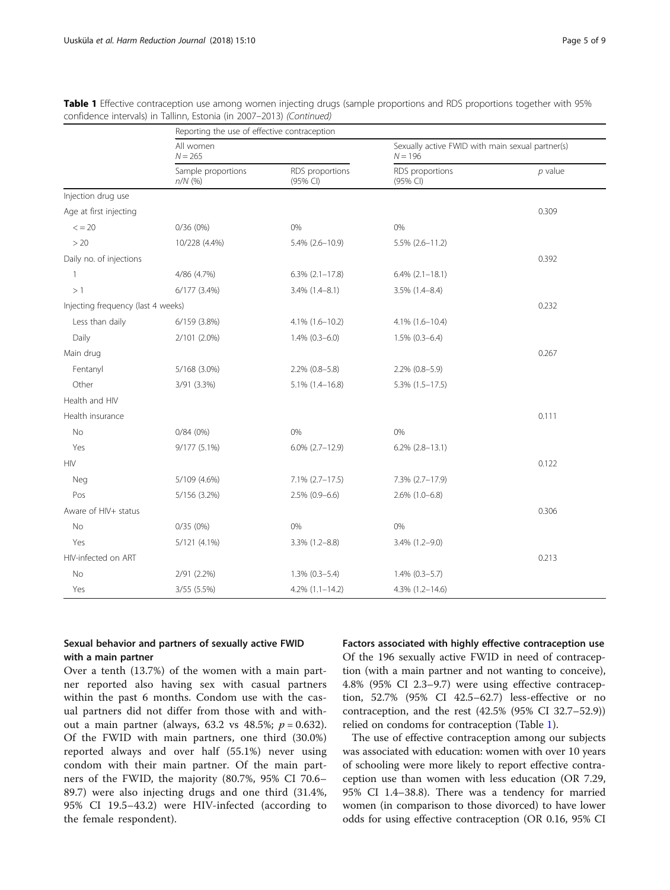|                                    | Reporting the use of effective contraception |                             |                                                               |           |  |  |
|------------------------------------|----------------------------------------------|-----------------------------|---------------------------------------------------------------|-----------|--|--|
|                                    | All women<br>$N = 265$                       |                             | Sexually active FWID with main sexual partner(s)<br>$N = 196$ |           |  |  |
|                                    | Sample proportions<br>$n/N$ (%)              | RDS proportions<br>(95% CI) | RDS proportions<br>(95% CI)                                   | $p$ value |  |  |
| Injection drug use                 |                                              |                             |                                                               |           |  |  |
| Age at first injecting             |                                              |                             |                                                               | 0.309     |  |  |
| $\leq$ = 20                        | 0/36(0%)                                     | 0%                          | 0%                                                            |           |  |  |
| >20                                | 10/228 (4.4%)                                | 5.4% (2.6-10.9)             | $5.5\%$ $(2.6-11.2)$                                          |           |  |  |
| Daily no. of injections            |                                              |                             |                                                               | 0.392     |  |  |
| 1                                  | 4/86 (4.7%)                                  | $6.3\%$ $(2.1-17.8)$        | $6.4\%$ $(2.1-18.1)$                                          |           |  |  |
| >1                                 | 6/177 (3.4%)                                 | $3.4\%$ $(1.4-8.1)$         | $3.5\%$ $(1.4-8.4)$                                           |           |  |  |
| Injecting frequency (last 4 weeks) | 0.232                                        |                             |                                                               |           |  |  |
| Less than daily                    | 6/159 (3.8%)                                 | 4.1% (1.6-10.2)             | 4.1% (1.6-10.4)                                               |           |  |  |
| Daily                              | 2/101 (2.0%)                                 | $1.4\%$ $(0.3-6.0)$         | $1.5\%$ (0.3-6.4)                                             |           |  |  |
| Main drug                          |                                              |                             |                                                               | 0.267     |  |  |
| Fentanyl                           | 5/168 (3.0%)                                 | $2.2\%$ (0.8-5.8)           | $2.2\%$ (0.8-5.9)                                             |           |  |  |
| Other                              | 3/91 (3.3%)                                  | $5.1\%$ $(1.4-16.8)$        | $5.3\%$ $(1.5-17.5)$                                          |           |  |  |
| Health and HIV                     |                                              |                             |                                                               |           |  |  |
| Health insurance                   |                                              |                             |                                                               | 0.111     |  |  |
| <b>No</b>                          | 0/84(0%)                                     | 0%                          | 0%                                                            |           |  |  |
| Yes                                | 9/177 (5.1%)                                 | $6.0\%$ $(2.7-12.9)$        | $6.2\%$ $(2.8-13.1)$                                          |           |  |  |
| <b>HIV</b>                         |                                              |                             |                                                               | 0.122     |  |  |
| Neg                                | 5/109 (4.6%)                                 | 7.1% (2.7-17.5)             | 7.3% (2.7-17.9)                                               |           |  |  |
| Pos                                | 5/156 (3.2%)                                 | $2.5\%$ (0.9-6.6)           | $2.6\%$ $(1.0-6.8)$                                           |           |  |  |
| Aware of HIV+ status               |                                              |                             |                                                               | 0.306     |  |  |
| <b>No</b>                          | 0/35(0%)                                     | 0%                          | 0%                                                            |           |  |  |
| Yes                                | 5/121 (4.1%)                                 | $3.3\%$ $(1.2-8.8)$         | $3.4\%$ $(1.2-9.0)$                                           |           |  |  |
| HIV-infected on ART                |                                              |                             |                                                               | 0.213     |  |  |
| <b>No</b>                          | 2/91 (2.2%)                                  | $1.3\%$ (0.3-5.4)           | $1.4\%$ (0.3-5.7)                                             |           |  |  |
| Yes                                | 3/55 (5.5%)                                  | $4.2\%$ $(1.1-14.2)$        | 4.3% (1.2-14.6)                                               |           |  |  |

Table 1 Effective contraception use among women injecting drugs (sample proportions and RDS proportions together with 95% confidence intervals) in Tallinn, Estonia (in 2007–2013) (Continued)

## Sexual behavior and partners of sexually active FWID with a main partner

Over a tenth (13.7%) of the women with a main partner reported also having sex with casual partners within the past 6 months. Condom use with the casual partners did not differ from those with and without a main partner (always, 63.2 vs 48.5%;  $p = 0.632$ ). Of the FWID with main partners, one third (30.0%) reported always and over half (55.1%) never using condom with their main partner. Of the main partners of the FWID, the majority (80.7%, 95% CI 70.6– 89.7) were also injecting drugs and one third (31.4%, 95% CI 19.5–43.2) were HIV-infected (according to the female respondent).

Factors associated with highly effective contraception use Of the 196 sexually active FWID in need of contraception (with a main partner and not wanting to conceive), 4.8% (95% CI 2.3–9.7) were using effective contraception, 52.7% (95% CI 42.5–62.7) less-effective or no contraception, and the rest (42.5% (95% CI 32.7–52.9)) relied on condoms for contraception (Table [1](#page-3-0)).

The use of effective contraception among our subjects was associated with education: women with over 10 years of schooling were more likely to report effective contraception use than women with less education (OR 7.29, 95% CI 1.4–38.8). There was a tendency for married women (in comparison to those divorced) to have lower odds for using effective contraception (OR 0.16, 95% CI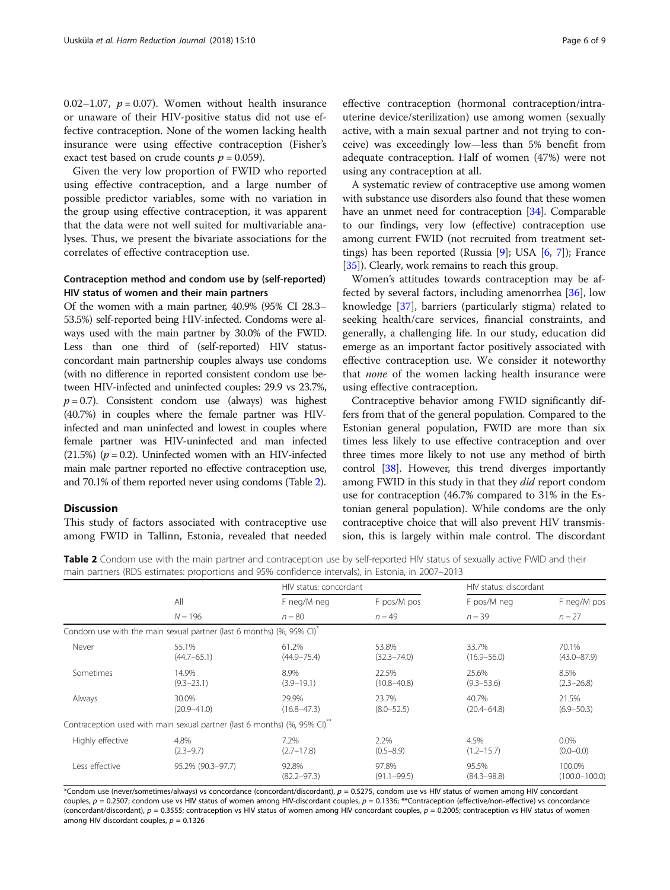0.02–1.07,  $p = 0.07$ ). Women without health insurance or unaware of their HIV-positive status did not use effective contraception. None of the women lacking health insurance were using effective contraception (Fisher's exact test based on crude counts  $p = 0.059$ ).

Given the very low proportion of FWID who reported using effective contraception, and a large number of possible predictor variables, some with no variation in the group using effective contraception, it was apparent that the data were not well suited for multivariable analyses. Thus, we present the bivariate associations for the correlates of effective contraception use.

## Contraception method and condom use by (self-reported) HIV status of women and their main partners

Of the women with a main partner, 40.9% (95% CI 28.3– 53.5%) self-reported being HIV-infected. Condoms were always used with the main partner by 30.0% of the FWID. Less than one third of (self-reported) HIV statusconcordant main partnership couples always use condoms (with no difference in reported consistent condom use between HIV-infected and uninfected couples: 29.9 vs 23.7%,  $p = 0.7$ ). Consistent condom use (always) was highest (40.7%) in couples where the female partner was HIVinfected and man uninfected and lowest in couples where female partner was HIV-uninfected and man infected (21.5%) ( $p = 0.2$ ). Uninfected women with an HIV-infected main male partner reported no effective contraception use, and 70.1% of them reported never using condoms (Table 2).

## **Discussion**

This study of factors associated with contraceptive use among FWID in Tallinn, Estonia, revealed that needed

effective contraception (hormonal contraception/intrauterine device/sterilization) use among women (sexually active, with a main sexual partner and not trying to conceive) was exceedingly low—less than 5% benefit from adequate contraception. Half of women (47%) were not using any contraception at all.

A systematic review of contraceptive use among women with substance use disorders also found that these women have an unmet need for contraception [\[34\]](#page-8-0). Comparable to our findings, very low (effective) contraception use among current FWID (not recruited from treatment settings) has been reported (Russia  $[9]$  $[9]$ ; USA  $[6, 7]$  $[6, 7]$  $[6, 7]$ ); France [[35](#page-8-0)]). Clearly, work remains to reach this group.

Women's attitudes towards contraception may be affected by several factors, including amenorrhea [[36\]](#page-8-0), low knowledge [[37](#page-8-0)], barriers (particularly stigma) related to seeking health/care services, financial constraints, and generally, a challenging life. In our study, education did emerge as an important factor positively associated with effective contraception use. We consider it noteworthy that none of the women lacking health insurance were using effective contraception.

Contraceptive behavior among FWID significantly differs from that of the general population. Compared to the Estonian general population, FWID are more than six times less likely to use effective contraception and over three times more likely to not use any method of birth control [\[38](#page-8-0)]. However, this trend diverges importantly among FWID in this study in that they *did* report condom use for contraception (46.7% compared to 31% in the Estonian general population). While condoms are the only contraceptive choice that will also prevent HIV transmission, this is largely within male control. The discordant

Table 2 Condom use with the main partner and contraception use by self-reported HIV status of sexually active FWID and their main partners (RDS estimates: proportions and 95% confidence intervals), in Estonia, in 2007–2013

|                  |                                                                         | HIV status: concordant   |                          | HIV status: discordant   |                             |
|------------------|-------------------------------------------------------------------------|--------------------------|--------------------------|--------------------------|-----------------------------|
|                  | All<br>$N = 196$                                                        | F neg/M neg              | F pos/M pos<br>$n = 49$  | F pos/M neg<br>$n = 39$  | F neg/M pos                 |
|                  |                                                                         | $n = 80$                 |                          |                          | $n = 27$                    |
|                  | Condom use with the main sexual partner (last 6 months) (%, 95% CI)*    |                          |                          |                          |                             |
| Never            | 55.1%<br>$(44.7 - 65.1)$                                                | 61.2%<br>$(44.9 - 75.4)$ | 53.8%<br>$(32.3 - 74.0)$ | 33.7%<br>$(16.9 - 56.0)$ | 70.1%<br>$(43.0 - 87.9)$    |
| Sometimes        | 14.9%<br>$(9.3 - 23.1)$                                                 | 8.9%<br>$(3.9 - 19.1)$   | 22.5%<br>$(10.8 - 40.8)$ | 25.6%<br>$(9.3 - 53.6)$  | 8.5%<br>$(2.3 - 26.8)$      |
| Always           | 30.0%<br>$(20.9 - 41.0)$                                                | 29.9%<br>$(16.8 - 47.3)$ | 23.7%<br>$(8.0 - 52.5)$  | 40.7%<br>$(20.4 - 64.8)$ | 21.5%<br>$(6.9 - 50.3)$     |
|                  | Contraception used with main sexual partner (last 6 months) (%, 95% CI) |                          |                          |                          |                             |
| Highly effective | 4.8%<br>$(2.3 - 9.7)$                                                   | 7.2%<br>$(2.7 - 17.8)$   | 2.2%<br>$(0.5 - 8.9)$    | 4.5%<br>$(1.2 - 15.7)$   | $0.0\%$<br>$(0.0 - 0.0)$    |
| Less effective   | 95.2% (90.3-97.7)                                                       | 92.8%<br>$(82.2 - 97.3)$ | 97.8%<br>$(91.1 - 99.5)$ | 95.5%<br>$(84.3 - 98.8)$ | 100.0%<br>$(100.0 - 100.0)$ |

\*Condom use (never/sometimes/always) vs concordance (concordant/discordant), p = 0.5275, condom use vs HIV status of women among HIV concordant couples,  $p = 0.2507$ ; condom use vs HIV status of women among HIV-discordant couples,  $p = 0.1336$ ; \*\*Contraception (effective/non-effective) vs concordance (concordant/discordant),  $p = 0.3555$ ; contraception vs HIV status of women among HIV concordant couples,  $p = 0.2005$ ; contraception vs HIV status of women among HIV discordant couples,  $p = 0.1326$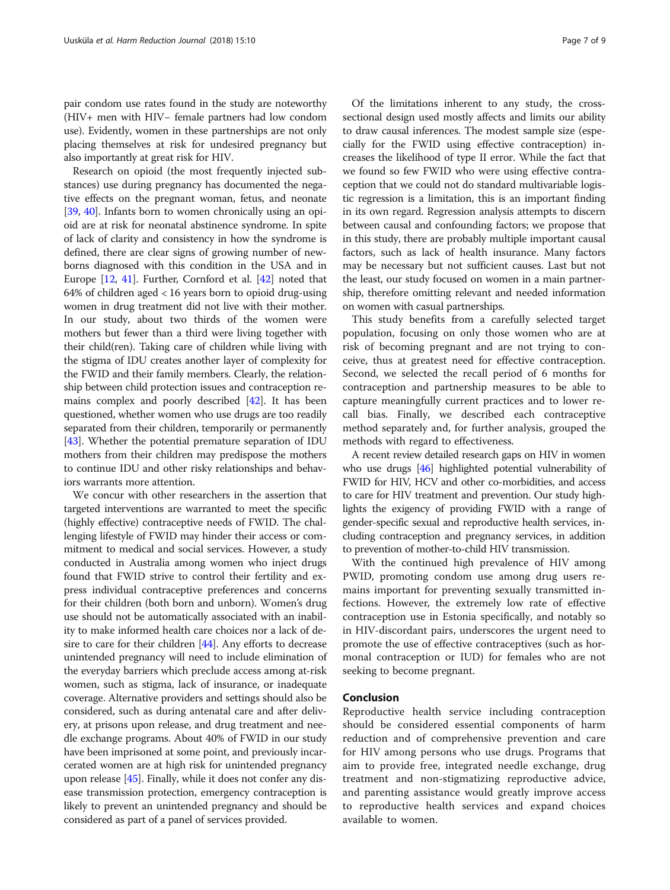pair condom use rates found in the study are noteworthy (HIV+ men with HIV− female partners had low condom use). Evidently, women in these partnerships are not only placing themselves at risk for undesired pregnancy but also importantly at great risk for HIV.

Research on opioid (the most frequently injected substances) use during pregnancy has documented the negative effects on the pregnant woman, fetus, and neonate [[39](#page-8-0), [40](#page-8-0)]. Infants born to women chronically using an opioid are at risk for neonatal abstinence syndrome. In spite of lack of clarity and consistency in how the syndrome is defined, there are clear signs of growing number of newborns diagnosed with this condition in the USA and in Europe [[12](#page-7-0), [41\]](#page-8-0). Further, Cornford et al. [\[42\]](#page-8-0) noted that 64% of children aged < 16 years born to opioid drug-using women in drug treatment did not live with their mother. In our study, about two thirds of the women were mothers but fewer than a third were living together with their child(ren). Taking care of children while living with the stigma of IDU creates another layer of complexity for the FWID and their family members. Clearly, the relationship between child protection issues and contraception remains complex and poorly described [[42](#page-8-0)]. It has been questioned, whether women who use drugs are too readily separated from their children, temporarily or permanently [[43](#page-8-0)]. Whether the potential premature separation of IDU mothers from their children may predispose the mothers to continue IDU and other risky relationships and behaviors warrants more attention.

We concur with other researchers in the assertion that targeted interventions are warranted to meet the specific (highly effective) contraceptive needs of FWID. The challenging lifestyle of FWID may hinder their access or commitment to medical and social services. However, a study conducted in Australia among women who inject drugs found that FWID strive to control their fertility and express individual contraceptive preferences and concerns for their children (both born and unborn). Women's drug use should not be automatically associated with an inability to make informed health care choices nor a lack of desire to care for their children [\[44](#page-8-0)]. Any efforts to decrease unintended pregnancy will need to include elimination of the everyday barriers which preclude access among at-risk women, such as stigma, lack of insurance, or inadequate coverage. Alternative providers and settings should also be considered, such as during antenatal care and after delivery, at prisons upon release, and drug treatment and needle exchange programs. About 40% of FWID in our study have been imprisoned at some point, and previously incarcerated women are at high risk for unintended pregnancy upon release [\[45\]](#page-8-0). Finally, while it does not confer any disease transmission protection, emergency contraception is likely to prevent an unintended pregnancy and should be considered as part of a panel of services provided.

Of the limitations inherent to any study, the crosssectional design used mostly affects and limits our ability to draw causal inferences. The modest sample size (especially for the FWID using effective contraception) increases the likelihood of type II error. While the fact that we found so few FWID who were using effective contraception that we could not do standard multivariable logistic regression is a limitation, this is an important finding in its own regard. Regression analysis attempts to discern between causal and confounding factors; we propose that in this study, there are probably multiple important causal factors, such as lack of health insurance. Many factors may be necessary but not sufficient causes. Last but not the least, our study focused on women in a main partnership, therefore omitting relevant and needed information on women with casual partnerships.

This study benefits from a carefully selected target population, focusing on only those women who are at risk of becoming pregnant and are not trying to conceive, thus at greatest need for effective contraception. Second, we selected the recall period of 6 months for contraception and partnership measures to be able to capture meaningfully current practices and to lower recall bias. Finally, we described each contraceptive method separately and, for further analysis, grouped the methods with regard to effectiveness.

A recent review detailed research gaps on HIV in women who use drugs [\[46\]](#page-8-0) highlighted potential vulnerability of FWID for HIV, HCV and other co-morbidities, and access to care for HIV treatment and prevention. Our study highlights the exigency of providing FWID with a range of gender-specific sexual and reproductive health services, including contraception and pregnancy services, in addition to prevention of mother-to-child HIV transmission.

With the continued high prevalence of HIV among PWID, promoting condom use among drug users remains important for preventing sexually transmitted infections. However, the extremely low rate of effective contraception use in Estonia specifically, and notably so in HIV-discordant pairs, underscores the urgent need to promote the use of effective contraceptives (such as hormonal contraception or IUD) for females who are not seeking to become pregnant.

### Conclusion

Reproductive health service including contraception should be considered essential components of harm reduction and of comprehensive prevention and care for HIV among persons who use drugs. Programs that aim to provide free, integrated needle exchange, drug treatment and non-stigmatizing reproductive advice, and parenting assistance would greatly improve access to reproductive health services and expand choices available to women.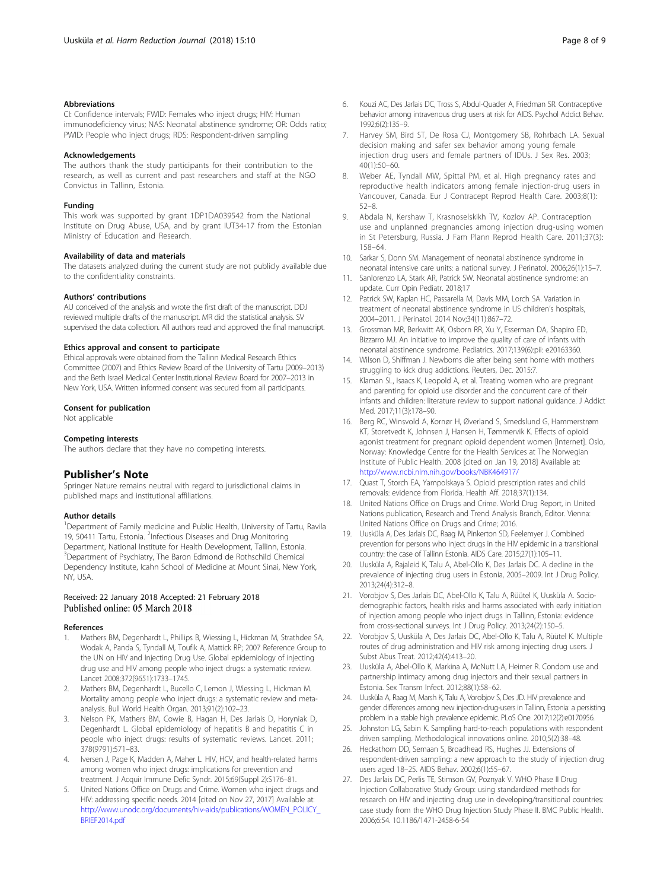#### <span id="page-7-0"></span>Abbreviations

CI: Confidence intervals; FWID: Females who inject drugs; HIV: Human immunodeficiency virus; NAS: Neonatal abstinence syndrome; OR: Odds ratio; PWID: People who inject drugs; RDS: Respondent-driven sampling

#### Acknowledgements

The authors thank the study participants for their contribution to the research, as well as current and past researchers and staff at the NGO Convictus in Tallinn, Estonia.

#### Funding

This work was supported by grant 1DP1DA039542 from the National Institute on Drug Abuse, USA, and by grant IUT34-17 from the Estonian Ministry of Education and Research.

#### Availability of data and materials

The datasets analyzed during the current study are not publicly available due to the confidentiality constraints.

#### Authors' contributions

AU conceived of the analysis and wrote the first draft of the manuscript. DDJ reviewed multiple drafts of the manuscript. MR did the statistical analysis. SV supervised the data collection. All authors read and approved the final manuscript.

#### Ethics approval and consent to participate

Ethical approvals were obtained from the Tallinn Medical Research Ethics Committee (2007) and Ethics Review Board of the University of Tartu (2009–2013) and the Beth Israel Medical Center Institutional Review Board for 2007–2013 in New York, USA. Written informed consent was secured from all participants.

#### Consent for publication

Not applicable

#### Competing interests

The authors declare that they have no competing interests.

#### Publisher's Note

Springer Nature remains neutral with regard to jurisdictional claims in published maps and institutional affiliations.

#### Author details

<sup>1</sup>Department of Family medicine and Public Health, University of Tartu, Ravila 19, 50411 Tartu, Estonia. <sup>2</sup>Infectious Diseases and Drug Monitoring Department, National Institute for Health Development, Tallinn, Estonia. <sup>3</sup>Department of Psychiatry, The Baron Edmond de Rothschild Chemical Dependency Institute, Icahn School of Medicine at Mount Sinai, New York, NY, USA.

#### Received: 22 January 2018 Accepted: 21 February 2018 Published online: 05 March 2018

#### References

- Mathers BM, Degenhardt L, Phillips B, Wiessing L, Hickman M, Strathdee SA, Wodak A, Panda S, Tyndall M, Toufik A, Mattick RP; 2007 Reference Group to the UN on HIV and Injecting Drug Use. Global epidemiology of injecting drug use and HIV among people who inject drugs: a systematic review. Lancet 2008;372(9651):1733–1745.
- 2. Mathers BM, Degenhardt L, Bucello C, Lemon J, Wiessing L, Hickman M. Mortality among people who inject drugs: a systematic review and metaanalysis. Bull World Health Organ. 2013;91(2):102–23.
- 3. Nelson PK, Mathers BM, Cowie B, Hagan H, Des Jarlais D, Horyniak D, Degenhardt L. Global epidemiology of hepatitis B and hepatitis C in people who inject drugs: results of systematic reviews. Lancet. 2011; 378(9791):571–83.
- 4. Iversen J, Page K, Madden A, Maher L. HIV, HCV, and health-related harms among women who inject drugs: implications for prevention and treatment. J Acquir Immune Defic Syndr. 2015;69(Suppl 2):S176–81.
- 5. United Nations Office on Drugs and Crime. Women who inject drugs and HIV: addressing specific needs. 2014 [cited on Nov 27, 2017] Available at: [http://www.unodc.org/documents/hiv-aids/publications/WOMEN\\_POLICY\\_](http://www.unodc.org/documents/hiv-aids/publications/WOMEN_POLICY_BRIEF2014.pdf) [BRIEF2014.pdf](http://www.unodc.org/documents/hiv-aids/publications/WOMEN_POLICY_BRIEF2014.pdf)
- 6. Kouzi AC, Des Jarlais DC, Tross S, Abdul-Quader A, Friedman SR. Contraceptive behavior among intravenous drug users at risk for AIDS. Psychol Addict Behav. 1992;6(2):135–9.
- 7. Harvey SM, Bird ST, De Rosa CJ, Montgomery SB, Rohrbach LA. Sexual decision making and safer sex behavior among young female injection drug users and female partners of IDUs. J Sex Res. 2003; 40(1):50–60.
- 8. Weber AE, Tyndall MW, Spittal PM, et al. High pregnancy rates and reproductive health indicators among female injection-drug users in Vancouver, Canada. Eur J Contracept Reprod Health Care. 2003;8(1): 52–8.
- 9. Abdala N, Kershaw T, Krasnoselskikh TV, Kozlov AP. Contraception use and unplanned pregnancies among injection drug-using women in St Petersburg, Russia. J Fam Plann Reprod Health Care. 2011;37(3): 158–64.
- 10. Sarkar S, Donn SM. Management of neonatal abstinence syndrome in neonatal intensive care units: a national survey. J Perinatol. 2006;26(1):15–7.
- 11. Sanlorenzo LA, Stark AR, Patrick SW. Neonatal abstinence syndrome: an update. Curr Opin Pediatr. 2018;17
- 12. Patrick SW, Kaplan HC, Passarella M, Davis MM, Lorch SA. Variation in treatment of neonatal abstinence syndrome in US children's hospitals, 2004–2011. J Perinatol. 2014 Nov;34(11):867–72.
- 13. Grossman MR, Berkwitt AK, Osborn RR, Xu Y, Esserman DA, Shapiro ED, Bizzarro MJ. An initiative to improve the quality of care of infants with neonatal abstinence syndrome. Pediatrics. 2017;139(6):pii: e20163360.
- 14. Wilson D, Shiffman J. Newborns die after being sent home with mothers struggling to kick drug addictions. Reuters, Dec. 2015:7.
- 15. Klaman SL, Isaacs K, Leopold A, et al. Treating women who are pregnant and parenting for opioid use disorder and the concurrent care of their infants and children: literature review to support national guidance. J Addict Med. 2017;11(3):178–90.
- 16. Berg RC, Winsvold A, Kornør H, Øverland S, Smedslund G, Hammerstrøm KT, Storetvedt K, Johnsen J, Hansen H, Tømmervik K. Effects of opioid agonist treatment for pregnant opioid dependent women [Internet]. Oslo, Norway: Knowledge Centre for the Health Services at The Norwegian Institute of Public Health. 2008 [cited on Jan 19, 2018] Available at: <http://www.ncbi.nlm.nih.gov/books/NBK464917/>
- 17. Quast T, Storch EA, Yampolskaya S. Opioid prescription rates and child removals: evidence from Florida. Health Aff. 2018;37(1):134.
- 18. United Nations Office on Drugs and Crime. World Drug Report, in United Nations publication, Research and Trend Analysis Branch, Editor. Vienna: United Nations Office on Drugs and Crime; 2016.
- 19. Uusküla A, Des Jarlais DC, Raag M, Pinkerton SD, Feelemyer J. Combined prevention for persons who inject drugs in the HIV epidemic in a transitional country: the case of Tallinn Estonia. AIDS Care. 2015;27(1):105–11.
- 20. Uusküla A, Rajaleid K, Talu A, Abel-Ollo K, Des Jarlais DC. A decline in the prevalence of injecting drug users in Estonia, 2005–2009. Int J Drug Policy. 2013;24(4):312–8.
- 21. Vorobjov S, Des Jarlais DC, Abel-Ollo K, Talu A, Rüütel K, Uusküla A. Sociodemographic factors, health risks and harms associated with early initiation of injection among people who inject drugs in Tallinn, Estonia: evidence from cross-sectional surveys. Int J Drug Policy. 2013;24(2):150–5.
- 22. Vorobjov S, Uusküla A, Des Jarlais DC, Abel-Ollo K, Talu A, Rüütel K. Multiple routes of drug administration and HIV risk among injecting drug users. J Subst Abus Treat. 2012;42(4):413–20.
- 23. Uusküla A, Abel-Ollo K, Markina A, McNutt LA, Heimer R. Condom use and partnership intimacy among drug injectors and their sexual partners in Estonia. Sex Transm Infect. 2012;88(1):58–62.
- 24. Uusküla A, Raag M, Marsh K, Talu A, Vorobjov S, Des JD. HIV prevalence and gender differences among new injection-drug-users in Tallinn, Estonia: a persisting problem in a stable high prevalence epidemic. PLoS One. 2017;12(2):e0170956.
- 25. Johnston LG, Sabin K. Sampling hard-to-reach populations with respondent driven sampling. Methodological innovations online. 2010;5(2):38–48.
- 26. Heckathorn DD, Semaan S, Broadhead RS, Hughes JJ. Extensions of respondent-driven sampling: a new approach to the study of injection drug users aged 18–25. AIDS Behav. 2002;6(1):55–67.
- 27. Des Jarlais DC, Perlis TE, Stimson GV, Poznyak V. WHO Phase II Drug Injection Collaborative Study Group: using standardized methods for research on HIV and injecting drug use in developing/transitional countries: case study from the WHO Drug Injection Study Phase II. BMC Public Health. 2006;6:54. 10.1186/1471-2458-6-54